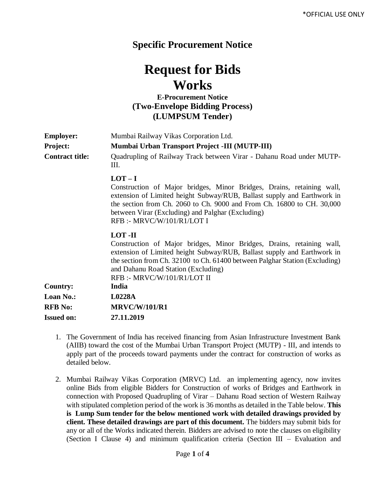## **Specific Procurement Notice**

## **Request for Bids Works**

## **E-Procurement Notice (Two-Envelope Bidding Process) (LUMPSUM Tender)**

| <b>Employer:</b><br><b>Project:</b><br><b>Contract title:</b> | Mumbai Railway Vikas Corporation Ltd.<br>Mumbai Urban Transport Project -III (MUTP-III)<br>Quadrupling of Railway Track between Virar - Dahanu Road under MUTP-<br>Ш.                                                                                                                                                   |
|---------------------------------------------------------------|-------------------------------------------------------------------------------------------------------------------------------------------------------------------------------------------------------------------------------------------------------------------------------------------------------------------------|
|                                                               | $LOT-I$<br>Construction of Major bridges, Minor Bridges, Drains, retaining wall,<br>extension of Limited height Subway/RUB, Ballast supply and Earthwork in<br>the section from Ch. 2060 to Ch. 9000 and From Ch. 16800 to CH. 30,000<br>between Virar (Excluding) and Palghar (Excluding)<br>RFB:- MRVC/W/101/R1/LOT I |
|                                                               | LOT-II<br>Construction of Major bridges, Minor Bridges, Drains, retaining wall,<br>extension of Limited height Subway/RUB, Ballast supply and Earthwork in<br>the section from Ch. 32100 to Ch. 61400 between Palghar Station (Excluding)<br>and Dahanu Road Station (Excluding)<br>RFB :- MRVC/W/101/R1/LOT II         |
| <b>Country:</b>                                               | India                                                                                                                                                                                                                                                                                                                   |
| <b>Loan No.:</b>                                              | L0228A                                                                                                                                                                                                                                                                                                                  |
| <b>RFB</b> No:                                                | <b>MRVC/W/101/R1</b>                                                                                                                                                                                                                                                                                                    |
| <b>Issued on:</b>                                             | 27.11.2019                                                                                                                                                                                                                                                                                                              |

- 1. The Government of India has received financing from Asian Infrastructure Investment Bank (AIIB) toward the cost of the Mumbai Urban Transport Project (MUTP) - III, and intends to apply part of the proceeds toward payments under the contract for construction of works as detailed below.
- 2. Mumbai Railway Vikas Corporation (MRVC) Ltd. an implementing agency, now invites online Bids from eligible Bidders for Construction of works of Bridges and Earthwork in connection with Proposed Quadrupling of Virar – Dahanu Road section of Western Railway with stipulated completion period of the work is 36 months as detailed in the Table below. **This is Lump Sum tender for the below mentioned work with detailed drawings provided by client. These detailed drawings are part of this document.** The bidders may submit bids for any or all of the Works indicated therein. Bidders are advised to note the clauses on eligibility (Section I Clause 4) and minimum qualification criteria (Section III – Evaluation and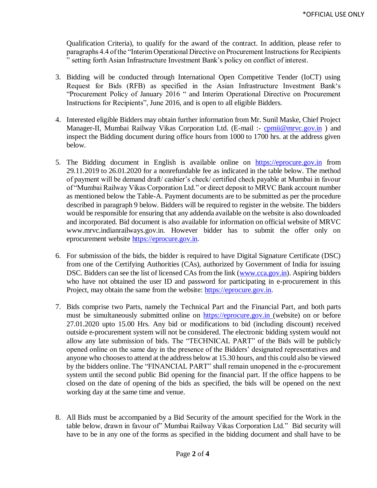Qualification Criteria), to qualify for the award of the contract. In addition, please refer to paragraphs 4.4 of the "Interim Operational Directive on Procurement Instructions for Recipients " setting forth Asian Infrastructure Investment Bank's policy on conflict of interest.

- 3. Bidding will be conducted through International Open Competitive Tender (IoCT) using Request for Bids (RFB) as specified in the Asian Infrastructure Investment Bank's "Procurement Policy of January 2016 " and Interim Operational Directive on Procurement Instructions for Recipients", June 2016, and is open to all eligible Bidders.
- 4. Interested eligible Bidders may obtain further information from Mr. Sunil Maske, Chief Project Manager-II, Mumbai Railway Vikas Corporation Ltd. (E-mail :- [cpmii@mrvc.gov.in](mailto:cpmii@mrvc.gov.in)) and inspect the Bidding document during office hours from 1000 to 1700 hrs. at the address given below*.*
- 5. The Bidding document in English is available online on [https://eprocure.gov.in](https://eprocure.gov.in/) from 29.11.2019 to 26.01.2020 for a nonrefundable fee as indicated in the table below. The method of payment will be demand draft/ cashier's check/ certified check payable at Mumbai in favour of "Mumbai Railway Vikas Corporation Ltd." or direct deposit to MRVC Bank account number as mentioned below the Table-A. Payment documents are to be submitted as per the procedure described in paragraph 9 below. Bidders will be required to register in the website. The bidders would be responsible for ensuring that any addenda available on the website is also downloaded and incorporated*.* Bid document is also available for information on official website of MRVC www.mrvc.indianrailways.gov.in. However bidder has to submit the offer only on eprocurement website [https://eprocure.gov.in.](https://eprocure.gov.in/)
- 6. For submission of the bids, the bidder is required to have Digital Signature Certificate (DSC) from one of the Certifying Authorities (CAs), authorized by Government of India for issuing DSC. Bidders can see the list of licensed CAs from the link [\(www.cca.gov.in\)](http://www.cca.gov.in/). Aspiring bidders who have not obtained the user ID and password for participating in e-procurement in this Project, may obtain the same from the website: [https://eprocure.gov.in.](https://eprocure.gov.in/)
- 7. Bids comprise two Parts, namely the Technical Part and the Financial Part, and both parts must be simultaneously submitted online on [https://eprocure.gov.in](https://eprocure.gov.in/) (website) on or before 27.01.2020 upto 15.00 Hrs. Any bid or modifications to bid (including discount) received outside e-procurement system will not be considered. The electronic bidding system would not allow any late submission of bids. The "TECHNICAL PART" of the Bids will be publicly opened online on the same day in the presence of the Bidders' designated representatives and anyone who chooses to attend at the address below at 15.30 hours*,* and this could also be viewed by the bidders online. The "FINANCIAL PART" shall remain unopened in the e-procurement system until the second public Bid opening for the financial part. If the office happens to be closed on the date of opening of the bids as specified, the bids will be opened on the next working day at the same time and venue.
- 8. All Bids must be accompanied by a Bid Security of the amount specified for the Work in the table below, drawn in favour of" Mumbai Railway Vikas Corporation Ltd." Bid security will have to be in any one of the forms as specified in the bidding document and shall have to be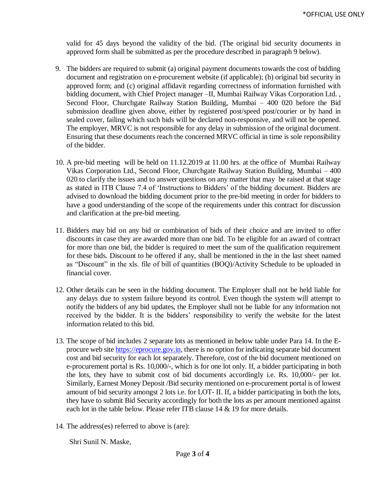valid for 45 days beyond the validity of the bid. (The original bid security documents in approved form shall be submitted as per the procedure described in paragraph 9 below).

- 9. The bidders are required to submit (a) original payment documents towards the cost of bidding document and registration on e-procurement website (if applicable); (b) original bid security in approved form; and (c) original affidavit regarding correctness of information furnished with bidding document, with Chief Project manager -II, Mumbai Railway Vikas Corporation Ltd., Second Floor, Churchgate Railway Station Building, Mumbai – 400 020 before the Bid submission deadline given above, either by registered post/speed post/courier or by hand in sealed cover, failing which such bids will be declared non-responsive, and will not be opened. The employer, MRVC is not responsible for any delay in submission of the original document. Ensuring that these documents reach the concerned MRVC official in time is sole reponsibility of the bidder.
- 10. A pre-bid meeting will be held on 11.12.2019 at 11.00 hrs. at the office of Mumbai Railway Vikas Corporation Ltd., Second Floor, Churchgate Railway Station Building, Mumbai – 400 020 to clarify the issues and to answer questions on any matter that may be raised at that stage as stated in ITB Clause 7.4 of 'Instructions to Bidders' of the bidding document. Bidders are advised to download the bidding document prior to the pre-bid meeting in order for bidders to have a good understanding of the scope of the requirements under this contract for discussion and clarification at the pre-bid meeting.
- 11. Bidders may bid on any bid or combination of bids of their choice and are invited to offer discounts in case they are awarded more than one bid. To be eligible for an award of contract for more than one bid, the bidder is required to meet the sum of the qualification requirement for these bids. Discount to be offered if any, shall be mentioned in the in the last sheet named as "Discount" in the xls. file of bill of quantities (BOQ)/Activity Schedule to be uploaded in financial cover.
- 12. Other details can be seen in the bidding document. The Employer shall not be held liable for any delays due to system failure beyond its control. Even though the system will attempt to notify the bidders of any bid updates, the Employer shall not be liable for any information not received by the bidder. It is the bidders' responsibility to verify the website for the latest information related to this bid.
- 13. The scope of bid includes 2 separate lots as mentioned in below table under Para 14. In the Eprocure web sit[e https://eprocure.gov.in,](https://eprocure.gov.in/) there is no option for indicating separate bid document cost and bid security for each lot separately. Therefore, cost of the bid document mentioned on e-procurement portal is Rs. 10,000/-, which is for one lot only. If, a bidder participating in both the lots, they have to submit cost of bid documents accordingly i.e. Rs. 10,000/- per lot. Similarly, Earnest Money Deposit /Bid security mentioned on e-procurement portal is of lowest amount of bid security amongst 2 lots i.e. for LOT- II. If, a bidder participating in both the lots, they have to submit Bid Security accordingly for both the lots as per amount mentioned against each lot in the table below. Please refer ITB clause 14 & 19 for more details.
- 14. The address(es) referred to above is (are):

Shri Sunil N. Maske,